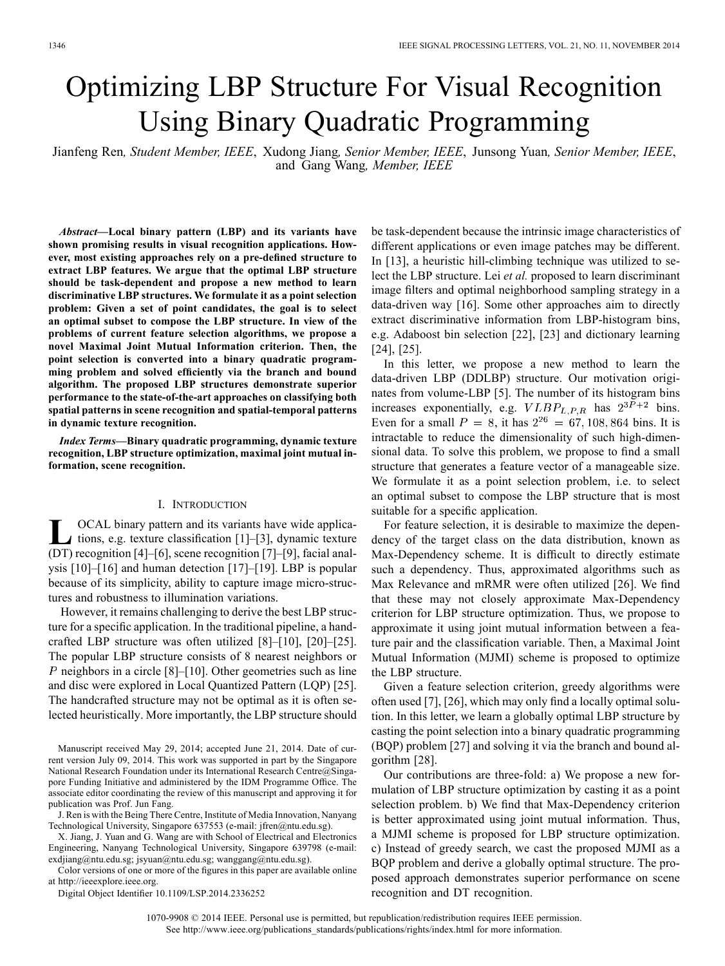# Optimizing LBP Structure For Visual Recognition Using Binary Quadratic Programming

Jianfeng Ren*, Student Member, IEEE*, Xudong Jiang*, Senior Member, IEEE*, Junsong Yuan*, Senior Member, IEEE*, and Gang Wang*, Member, IEEE*

*Abstract—***Local binary pattern (LBP) and its variants have shown promising results in visual recognition applications. However, most existing approaches rely on a pre-defined structure to extract LBP features. We argue that the optimal LBP structure should be task-dependent and propose a new method to learn discriminative LBP structures. We formulate it as a point selection problem: Given a set of point candidates, the goal is to select an optimal subset to compose the LBP structure. In view of the problems of current feature selection algorithms, we propose a novel Maximal Joint Mutual Information criterion. Then, the point selection is converted into a binary quadratic programming problem and solved efficiently via the branch and bound algorithm. The proposed LBP structures demonstrate superior performance to the state-of-the-art approaches on classifying both spatial patterns in scene recognition and spatial-temporal patterns in dynamic texture recognition.**

*Index Terms—***Binary quadratic programming, dynamic texture recognition, LBP structure optimization, maximal joint mutual information, scene recognition.**

## I. INTRODUCTION

**L** OCAL binary pattern and its variants have wide applica- $\blacktriangle$  tions, e.g. texture classification [1]–[3], dynamic texture (DT) recognition [4]–[6], scene recognition [7]–[9], facial analysis [10]–[16] and human detection [17]–[19]. LBP is popular because of its simplicity, ability to capture image micro-structures and robustness to illumination variations.

However, it remains challenging to derive the best LBP structure for a specific application. In the traditional pipeline, a handcrafted LBP structure was often utilized [8]–[10], [20]–[25]. The popular LBP structure consists of 8 nearest neighbors or  $P$  neighbors in a circle [8]–[10]. Other geometries such as line and disc were explored in Local Quantized Pattern (LQP) [25]. The handcrafted structure may not be optimal as it is often selected heuristically. More importantly, the LBP structure should

Manuscript received May 29, 2014; accepted June 21, 2014. Date of current version July 09, 2014. This work was supported in part by the Singapore National Research Foundation under its International Research Centre@Singapore Funding Initiative and administered by the IDM Programme Office. The associate editor coordinating the review of this manuscript and approving it for publication was Prof. Jun Fang.

J. Ren is with the Being There Centre, Institute of Media Innovation, Nanyang Technological University, Singapore 637553 (e-mail: jfren@ntu.edu.sg).

X. Jiang, J. Yuan and G. Wang are with School of Electrical and Electronics Engineering, Nanyang Technological University, Singapore 639798 (e-mail: exdjiang@ntu.edu.sg; jsyuan@ntu.edu.sg; wanggang@ntu.edu.sg).

Color versions of one or more of the figures in this paper are available online at http://ieeexplore.ieee.org.

Digital Object Identifier 10.1109/LSP.2014.2336252

be task-dependent because the intrinsic image characteristics of different applications or even image patches may be different. In [13], a heuristic hill-climbing technique was utilized to select the LBP structure. Lei *et al.* proposed to learn discriminant image filters and optimal neighborhood sampling strategy in a data-driven way [16]. Some other approaches aim to directly extract discriminative information from LBP-histogram bins, e.g. Adaboost bin selection [22], [23] and dictionary learning [24], [25].

In this letter, we propose a new method to learn the data-driven LBP (DDLBP) structure. Our motivation originates from volume-LBP [5]. The number of its histogram bins increases exponentially, e.g.  $VLBP_{L.P.R}$  has  $2^{3P+2}$  bins. Even for a small  $P = 8$ , it has  $2^{26} = 67, 108, 864$  bins. It is intractable to reduce the dimensionality of such high-dimensional data. To solve this problem, we propose to find a small structure that generates a feature vector of a manageable size. We formulate it as a point selection problem, i.e. to select an optimal subset to compose the LBP structure that is most suitable for a specific application.

For feature selection, it is desirable to maximize the dependency of the target class on the data distribution, known as Max-Dependency scheme. It is difficult to directly estimate such a dependency. Thus, approximated algorithms such as Max Relevance and mRMR were often utilized [26]. We find that these may not closely approximate Max-Dependency criterion for LBP structure optimization. Thus, we propose to approximate it using joint mutual information between a feature pair and the classification variable. Then, a Maximal Joint Mutual Information (MJMI) scheme is proposed to optimize the LBP structure.

Given a feature selection criterion, greedy algorithms were often used [7], [26], which may only find a locally optimal solution. In this letter, we learn a globally optimal LBP structure by casting the point selection into a binary quadratic programming (BQP) problem [27] and solving it via the branch and bound algorithm [28].

Our contributions are three-fold: a) We propose a new formulation of LBP structure optimization by casting it as a point selection problem. b) We find that Max-Dependency criterion is better approximated using joint mutual information. Thus, a MJMI scheme is proposed for LBP structure optimization. c) Instead of greedy search, we cast the proposed MJMI as a BQP problem and derive a globally optimal structure. The proposed approach demonstrates superior performance on scene recognition and DT recognition.

1070-9908 © 2014 IEEE. Personal use is permitted, but republication/redistribution requires IEEE permission. See http://www.ieee.org/publications\_standards/publications/rights/index.html for more information.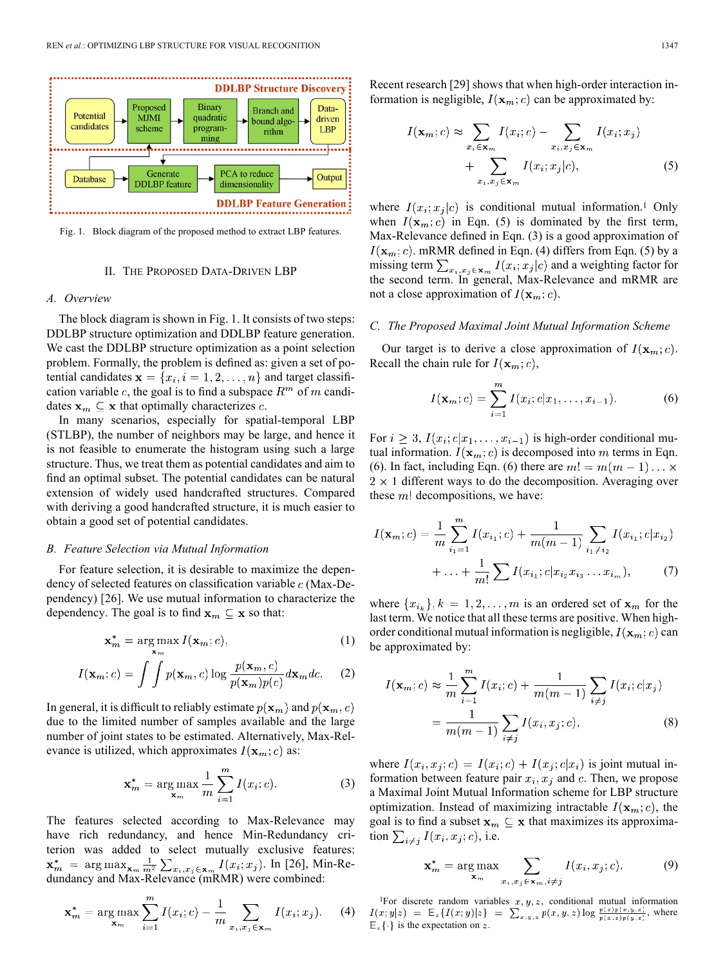

Fig. 1. Block diagram of the proposed method to extract LBP features.

## II. THE PROPOSED DATA-DRIVEN LBP

## *A. Overview*

The block diagram is shown in Fig. 1. It consists of two steps: DDLBP structure optimization and DDLBP feature generation. We cast the DDLBP structure optimization as a point selection problem. Formally, the problem is defined as: given a set of potential candidates  $\mathbf{x} = \{x_i, i = 1, 2, ..., n\}$  and target classification variable c, the goal is to find a subspace  $R<sup>m</sup>$  of m candidates  $x_m \subseteq x$  that optimally characterizes c.

In many scenarios, especially for spatial-temporal LBP (STLBP), the number of neighbors may be large, and hence it is not feasible to enumerate the histogram using such a large structure. Thus, we treat them as potential candidates and aim to find an optimal subset. The potential candidates can be natural extension of widely used handcrafted structures. Compared with deriving a good handcrafted structure, it is much easier to obtain a good set of potential candidates.

#### *B. Feature Selection via Mutual Information*

For feature selection, it is desirable to maximize the dependency of selected features on classification variable  $c$  (Max-Dependency) [26]. We use mutual information to characterize the dependency. The goal is to find  $\mathbf{x}_m \subseteq \mathbf{x}$  so that:

$$
\mathbf{x}_m^* = \arg\max_{\mathbf{x}_m} I(\mathbf{x}_m; c),\tag{1}
$$

$$
I(\mathbf{x}_m; c) = \int \int p(\mathbf{x}_m, c) \log \frac{p(\mathbf{x}_m, c)}{p(\mathbf{x}_m)p(c)} d\mathbf{x}_m dc.
$$
 (2)

In general, it is difficult to reliably estimate  $p(\mathbf{x}_m)$  and  $p(\mathbf{x}_m, c)$ due to the limited number of samples available and the large number of joint states to be estimated. Alternatively, Max-Relevance is utilized, which approximates  $I(\mathbf{x}_m; c)$  as:

$$
\mathbf{x}_m^* = \underset{\mathbf{x}_m}{\arg \max} \frac{1}{m} \sum_{i=1}^m I(x_i; c). \tag{3}
$$

The features selected according to Max-Relevance may have rich redundancy, and hence Min-Redundancy criterion was added to select mutually exclusive features: . In [26], Min-Redundancy and Max-Relevance (mRMR) were combined:

$$
\mathbf{x}_{m}^{*} = \arg \max_{\mathbf{x}_{m}} \sum_{i=1}^{m} I(x_{i}; c) - \frac{1}{m} \sum_{x_{i}, x_{j} \in \mathbf{x}_{m}} I(x_{i}; x_{j}). \tag{4}
$$

Recent research [29] shows that when high-order interaction information is negligible,  $I(\mathbf{x}_m; c)$  can be approximated by:

$$
I(\mathbf{x}_m; c) \approx \sum_{x_i \in \mathbf{x}_m} I(x_i; c) - \sum_{x_i, x_j \in \mathbf{x}_m} I(x_i; x_j)
$$
  
+ 
$$
\sum_{x_i, x_j \in \mathbf{x}_m} I(x_i; x_j|c),
$$
 (5)

where  $I(x_i; x_j|c)$  is conditional mutual information.<sup>1</sup> Only when  $I(\mathbf{x}_m; c)$  in Eqn. (5) is dominated by the first term, Max-Relevance defined in Eqn. (3) is a good approximation of  $I(\mathbf{x}_m; c)$ . mRMR defined in Eqn. (4) differs from Eqn. (5) by a missing term  $\sum_{x_i, x_j \in \mathbf{x}_m} I(x_i; x_j | c)$  and a weighting factor for the second term. In general, Max-Relevance and mRMR are not a close approximation of  $I(\mathbf{x}_m; c)$ .

## *C. The Proposed Maximal Joint Mutual Information Scheme*

Our target is to derive a close approximation of  $I(\mathbf{x}_m; c)$ . Recall the chain rule for  $I(\mathbf{x}_m; c)$ ,

$$
I(\mathbf{x}_m; c) = \sum_{i=1}^m I(x_i; c | x_1, \dots, x_{i-1}).
$$
 (6)

For  $i \geq 3$ ,  $I(x_i; c | x_1, \ldots, x_{i-1})$  is high-order conditional mutual information.  $I(\mathbf{x}_m; c)$  is decomposed into m terms in Eqn. (6). In fact, including Eqn. (6) there are  $m! = m(m-1) \dots \times$  $2 \times 1$  different ways to do the decomposition. Averaging over these  $m!$  decompositions, we have:

$$
I(\mathbf{x}_m; c) = \frac{1}{m} \sum_{i_1=1}^m I(x_{i_1}; c) + \frac{1}{m(m-1)} \sum_{i_1 \neq i_2} I(x_{i_1}; c | x_{i_2}) + \dots + \frac{1}{m!} \sum I(x_{i_1}; c | x_{i_2} x_{i_3} \dots x_{i_m}), \tag{7}
$$

where  $\{x_{i_k}\}, k = 1, 2, \ldots, m$  is an ordered set of  $x_m$  for the last term. We notice that all these terms are positive. When highorder conditional mutual information is negligible,  $I(\mathbf{x}_m; c)$  can be approximated by:

$$
I(\mathbf{x}_m; c) \approx \frac{1}{m} \sum_{i=1}^m I(x_i; c) + \frac{1}{m(m-1)} \sum_{i \neq j} I(x_i; c | x_j)
$$
  
= 
$$
\frac{1}{m(m-1)} \sum_{i \neq j} I(x_i, x_j; c),
$$
 (8)

where  $I(x_i, x_i; c) = I(x_i; c) + I(x_i; c|x_i)$  is joint mutual information between feature pair  $x_i, x_j$  and c. Then, we propose a Maximal Joint Mutual Information scheme for LBP structure optimization. Instead of maximizing intractable  $I(\mathbf{x}_m; c)$ , the goal is to find a subset  $x_m \subseteq x$  that maximizes its approximation  $\sum_{i \neq j} I(x_i, x_j; c)$ , i.e.

$$
\mathbf{x}_{m}^{*} = \arg \max_{\mathbf{x}_{m}} \sum_{x_{i}, x_{j} \in \mathbf{x}_{m}, i \neq j} I(x_{i}, x_{j}; c).
$$
 (9)

<sup>1</sup>For discrete random variables  $x, y, z$ , conditional mutual information  $I(x; y|z) = \mathbb{E}_{z} \{ I(x; y)|z \} = \sum_{x,y,z} \overline{p(x,y,z)} \log \frac{p(z)p(x,y,z)}{p(x,z)p(y,z)}$ , where  $\mathbb{E}_z \{\cdot\}$  is the expectation on z.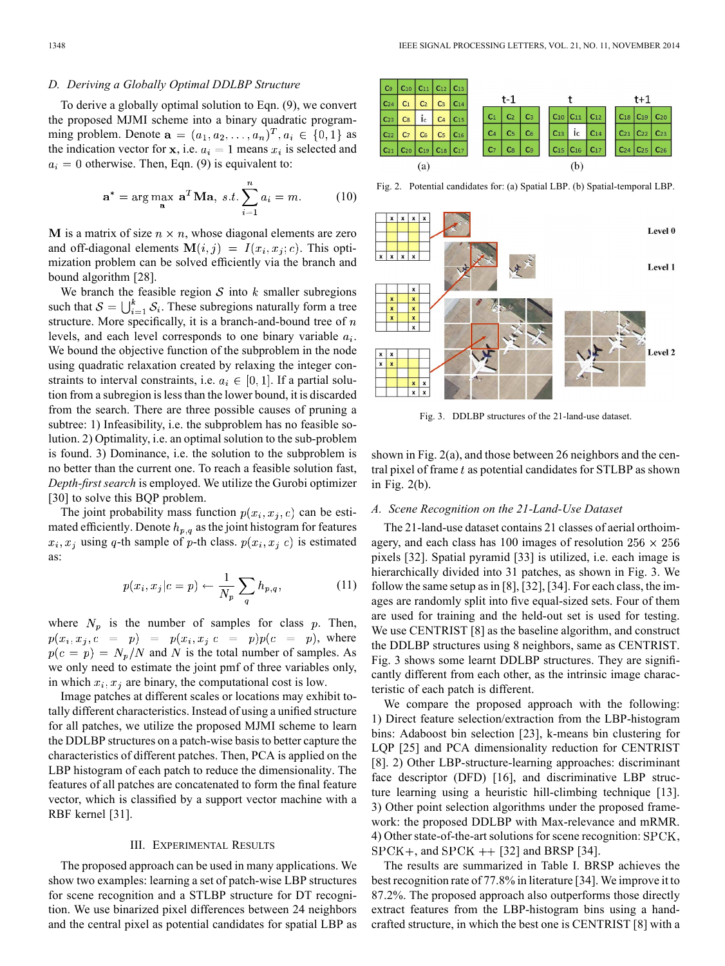## *D. Deriving a Globally Optimal DDLBP Structure*

To derive a globally optimal solution to Eqn. (9), we convert the proposed MJMI scheme into a binary quadratic programming problem. Denote  $\mathbf{a} = (a_1, a_2, \dots, a_n)^T, a_i \in \{0, 1\}$  as the indication vector for x, i.e.  $a_i = 1$  means  $x_i$  is selected and  $a_i = 0$  otherwise. Then, Eqn. (9) is equivalent to:

$$
\mathbf{a}^* = \arg\max_{\mathbf{a}} \ \mathbf{a}^T \mathbf{M} \mathbf{a}, \ s.t. \sum_{i=1}^n a_i = m. \tag{10}
$$

M is a matrix of size  $n \times n$ , whose diagonal elements are zero and off-diagonal elements  $M(i, j) = I(x_i, x_j; c)$ . This optimization problem can be solved efficiently via the branch and bound algorithm [28].

We branch the feasible region  $S$  into  $k$  smaller subregions such that  $S = \bigcup_{i=1}^{k} S_i$ . These subregions naturally form a tree structure. More specifically, it is a branch-and-bound tree of  $n$ levels, and each level corresponds to one binary variable  $a_i$ . We bound the objective function of the subproblem in the node using quadratic relaxation created by relaxing the integer constraints to interval constraints, i.e.  $a_i \in [0, 1]$ . If a partial solution from a subregion is less than the lower bound, it is discarded from the search. There are three possible causes of pruning a subtree: 1) Infeasibility, i.e. the subproblem has no feasible solution. 2) Optimality, i.e. an optimal solution to the sub-problem is found. 3) Dominance, i.e. the solution to the subproblem is no better than the current one. To reach a feasible solution fast, *Depth-first search* is employed. We utilize the Gurobi optimizer [30] to solve this BOP problem.

The joint probability mass function  $p(x_i, x_j, c)$  can be estimated efficiently. Denote  $h_{p,q}$  as the joint histogram for features  $x_i, x_j$  using q-th sample of p-th class.  $p(x_i, x_j|c)$  is estimated as:

$$
p(x_i, x_j | c = p) \leftarrow \frac{1}{N_p} \sum_{q} h_{p,q}, \qquad (11)
$$

where  $N_p$  is the number of samples for class  $p$ . Then,  $p(x_i, x_j, c = p) = p(x_i, x_j | c = p)p(c = p)$ , where  $p(c = p) = N_p/N$  and N is the total number of samples. As we only need to estimate the joint pmf of three variables only, in which  $x_i, x_j$  are binary, the computational cost is low.

Image patches at different scales or locations may exhibit totally different characteristics. Instead of using a unified structure for all patches, we utilize the proposed MJMI scheme to learn the DDLBP structures on a patch-wise basis to better capture the characteristics of different patches. Then, PCA is applied on the LBP histogram of each patch to reduce the dimensionality. The features of all patches are concatenated to form the final feature vector, which is classified by a support vector machine with a RBF kernel [31].

#### III. EXPERIMENTAL RESULTS

The proposed approach can be used in many applications. We show two examples: learning a set of patch-wise LBP structures for scene recognition and a STLBP structure for DT recognition. We use binarized pixel differences between 24 neighbors and the central pixel as potential candidates for spatial LBP as



Fig. 2. Potential candidates for: (a) Spatial LBP. (b) Spatial-temporal LBP.



Fig. 3. DDLBP structures of the 21-land-use dataset.

shown in Fig. 2(a), and those between 26 neighbors and the central pixel of frame  $t$  as potential candidates for STLBP as shown in Fig. 2(b).

## *A. Scene Recognition on the 21-Land-Use Dataset*

The 21-land-use dataset contains 21 classes of aerial orthoimagery, and each class has 100 images of resolution  $256 \times 256$ pixels [32]. Spatial pyramid [33] is utilized, i.e. each image is hierarchically divided into 31 patches, as shown in Fig. 3. We follow the same setup as in [8], [32], [34]. For each class, the images are randomly split into five equal-sized sets. Four of them are used for training and the held-out set is used for testing. We use CENTRIST [8] as the baseline algorithm, and construct the DDLBP structures using 8 neighbors, same as CENTRIST. Fig. 3 shows some learnt DDLBP structures. They are significantly different from each other, as the intrinsic image characteristic of each patch is different.

We compare the proposed approach with the following: 1) Direct feature selection/extraction from the LBP-histogram bins: Adaboost bin selection [23], k-means bin clustering for LQP [25] and PCA dimensionality reduction for CENTRIST [8]. 2) Other LBP-structure-learning approaches: discriminant face descriptor (DFD) [16], and discriminative LBP structure learning using a heuristic hill-climbing technique [13]. 3) Other point selection algorithms under the proposed framework: the proposed DDLBP with Max-relevance and mRMR. 4) Other state-of-the-art solutions for scene recognition:  $SPCK$ ,  $SPCK+$ , and  $SPCK +$  [32] and BRSP [34].

The results are summarized in Table I. BRSP achieves the best recognition rate of 77.8% in literature [34]. We improve it to 87.2%. The proposed approach also outperforms those directly extract features from the LBP-histogram bins using a handcrafted structure, in which the best one is CENTRIST [8] with a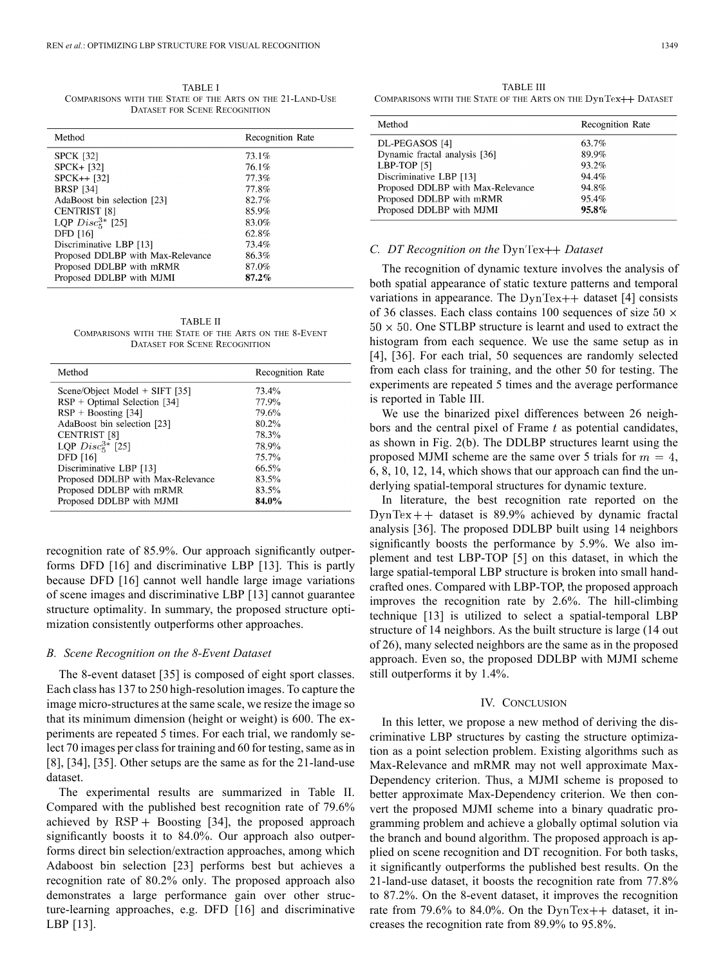TABLE I COMPARISONS WITH THE STATE OF THE ARTS ON THE 21-LAND-USE DATASET FOR SCENE RECOGNITION

| <b>Recognition Rate</b> |
|-------------------------|
| 73.1%                   |
| 76.1%                   |
| 77.3%                   |
| 77.8%                   |
| 82.7%                   |
| 85.9%                   |
| 83.0%                   |
| 62.8%                   |
| 73.4%                   |
| 86.3%                   |
| 87.0%                   |
| 87.2%                   |
|                         |

TABLE II COMPARISONS WITH THE STATE OF THE ARTS ON THE 8-EVENT DATASET FOR SCENE RECOGNITION

| Method                            | <b>Recognition Rate</b> |
|-----------------------------------|-------------------------|
| Scene/Object Model $+$ SIFT [35]  | 73.4%                   |
| $RSP + Optimal Selection [34]$    | 77.9%                   |
| $RSP + Boosting [34]$             | 79.6%                   |
| AdaBoost bin selection [23]       | 80.2%                   |
| <b>CENTRIST</b> [8]               | 78.3%                   |
| LQP $Disc_5^{3*}$ [25]            | 78.9%                   |
| <b>DFD</b> [16]                   | 75.7%                   |
| Discriminative LBP [13]           | 66.5%                   |
| Proposed DDLBP with Max-Relevance | 83.5%                   |
| Proposed DDLBP with mRMR          | 83.5%                   |
| Proposed DDLBP with MJMI          | 84.0%                   |

recognition rate of 85.9%. Our approach significantly outperforms DFD [16] and discriminative LBP [13]. This is partly because DFD [16] cannot well handle large image variations of scene images and discriminative LBP [13] cannot guarantee structure optimality. In summary, the proposed structure optimization consistently outperforms other approaches.

#### *B. Scene Recognition on the 8-Event Dataset*

The 8-event dataset [35] is composed of eight sport classes. Each class has 137 to 250 high-resolution images. To capture the image micro-structures at the same scale, we resize the image so that its minimum dimension (height or weight) is 600. The experiments are repeated 5 times. For each trial, we randomly select 70 images per class for training and 60 for testing, same as in [8], [34], [35]. Other setups are the same as for the 21-land-use dataset.

The experimental results are summarized in Table II. Compared with the published best recognition rate of 79.6% achieved by  $RSP +$  Boosting [34], the proposed approach significantly boosts it to 84.0%. Our approach also outperforms direct bin selection/extraction approaches, among which Adaboost bin selection [23] performs best but achieves a recognition rate of 80.2% only. The proposed approach also demonstrates a large performance gain over other structure-learning approaches, e.g. DFD [16] and discriminative LBP [13].

| Method                            | <b>Recognition Rate</b> |
|-----------------------------------|-------------------------|
| DL-PEGASOS [4]                    | 63.7%                   |
| Dynamic fractal analysis [36]     | 89.9%                   |
| LBP-TOP [5]                       | 93.2%                   |
| Discriminative LBP [13]           | 94.4%                   |
| Proposed DDLBP with Max-Relevance | 94.8%                   |
| Proposed DDLBP with mRMR          | 95.4%                   |
| Proposed DDLBP with MJMI          | $95.8\%$                |
|                                   |                         |

#### *C. DT Recognition on the*  $DynText+$ *Dataset*

The recognition of dynamic texture involves the analysis of both spatial appearance of static texture patterns and temporal variations in appearance. The  $DynText++$  dataset [4] consists of 36 classes. Each class contains 100 sequences of size 50  $\times$  $50 \times 50$ . One STLBP structure is learnt and used to extract the histogram from each sequence. We use the same setup as in [4], [36]. For each trial, 50 sequences are randomly selected from each class for training, and the other 50 for testing. The experiments are repeated 5 times and the average performance is reported in Table III.

We use the binarized pixel differences between 26 neighbors and the central pixel of Frame  $t$  as potential candidates, as shown in Fig. 2(b). The DDLBP structures learnt using the proposed MJMI scheme are the same over 5 trials for  $m = 4$ , 6, 8, 10, 12, 14, which shows that our approach can find the underlying spatial-temporal structures for dynamic texture.

In literature, the best recognition rate reported on the  $DynText++$  dataset is 89.9% achieved by dynamic fractal analysis [36]. The proposed DDLBP built using 14 neighbors significantly boosts the performance by 5.9%. We also implement and test LBP-TOP [5] on this dataset, in which the large spatial-temporal LBP structure is broken into small handcrafted ones. Compared with LBP-TOP, the proposed approach improves the recognition rate by 2.6%. The hill-climbing technique [13] is utilized to select a spatial-temporal LBP structure of 14 neighbors. As the built structure is large (14 out of 26), many selected neighbors are the same as in the proposed approach. Even so, the proposed DDLBP with MJMI scheme still outperforms it by 1.4%.

### IV. CONCLUSION

In this letter, we propose a new method of deriving the discriminative LBP structures by casting the structure optimization as a point selection problem. Existing algorithms such as Max-Relevance and mRMR may not well approximate Max-Dependency criterion. Thus, a MJMI scheme is proposed to better approximate Max-Dependency criterion. We then convert the proposed MJMI scheme into a binary quadratic programming problem and achieve a globally optimal solution via the branch and bound algorithm. The proposed approach is applied on scene recognition and DT recognition. For both tasks, it significantly outperforms the published best results. On the 21-land-use dataset, it boosts the recognition rate from 77.8% to 87.2%. On the 8-event dataset, it improves the recognition rate from 79.6% to 84.0%. On the  $DynText++$  dataset, it increases the recognition rate from 89.9% to 95.8%.